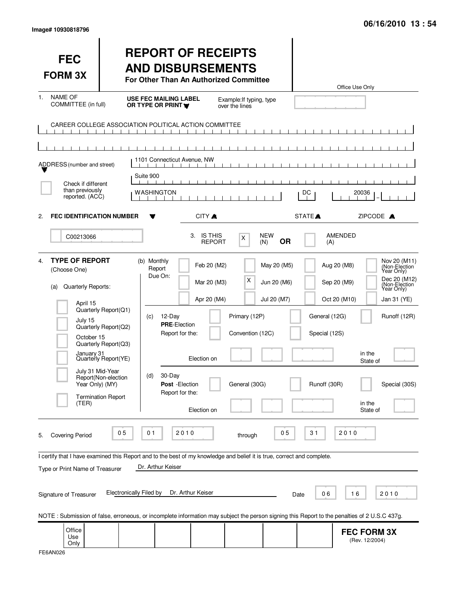| <b>FEC</b><br><b>FORM 3X</b>                                                                                                                                                                             |                                                                                                                     | <b>REPORT OF RECEIPTS</b><br><b>AND DISBURSEMENTS</b><br>For Other Than An Authorized Committee                                                    |                                                                         |                                                         |                                           |                                                | Office Use Only                                                                        |                                                                                                                                            |
|----------------------------------------------------------------------------------------------------------------------------------------------------------------------------------------------------------|---------------------------------------------------------------------------------------------------------------------|----------------------------------------------------------------------------------------------------------------------------------------------------|-------------------------------------------------------------------------|---------------------------------------------------------|-------------------------------------------|------------------------------------------------|----------------------------------------------------------------------------------------|--------------------------------------------------------------------------------------------------------------------------------------------|
| <b>NAME OF</b><br>1.<br>COMMITTEE (in full)                                                                                                                                                              |                                                                                                                     | <b>USE FEC MAILING LABEL</b><br>OR TYPE OR PRINT Y                                                                                                 |                                                                         | Example: If typing, type<br>over the lines              |                                           |                                                |                                                                                        |                                                                                                                                            |
| CAREER COLLEGE ASSOCIATION POLITICAL ACTION COMMITTEE                                                                                                                                                    | $\mathbf{1}$ $\mathbf{1}$ $\mathbf{1}$                                                                              | $\blacksquare$<br>$\blacksquare$                                                                                                                   | $\Box$                                                                  |                                                         |                                           |                                                |                                                                                        |                                                                                                                                            |
| ADDRESS (number and street)                                                                                                                                                                              |                                                                                                                     | 1101 Connecticut Avenue, NW                                                                                                                        |                                                                         |                                                         |                                           |                                                |                                                                                        |                                                                                                                                            |
| Check if different<br>than previously<br>reported. (ACC)                                                                                                                                                 |                                                                                                                     | Suite 900<br>WASHINGTON                                                                                                                            |                                                                         |                                                         |                                           | DC                                             | 20036                                                                                  |                                                                                                                                            |
| <b>FEC IDENTIFICATION NUMBER</b><br>2.                                                                                                                                                                   |                                                                                                                     |                                                                                                                                                    | CITY A                                                                  |                                                         |                                           | STATE <sup>A</sup>                             | ZIPCODE A                                                                              |                                                                                                                                            |
| C00213066                                                                                                                                                                                                |                                                                                                                     |                                                                                                                                                    | 3. IS THIS<br><b>REPORT</b>                                             | X                                                       | <b>NEW</b><br><b>OR</b><br>(N)            | (A)                                            | <b>AMENDED</b>                                                                         |                                                                                                                                            |
| <b>TYPE OF REPORT</b><br>4.<br>(Choose One)<br>Quarterly Reports:<br>(a)<br>April 15<br>July 15<br>October 15<br>January 31<br>July 31 Mid-Year<br>Year Only) (MY)<br><b>Termination Report</b><br>(TER) | Quarterly Report(Q1)<br>Quarterly Report(Q2)<br>Quarterly Report(Q3)<br>Quarterly Report(YE)<br>Report(Non-election | (b) Monthly<br>Report<br>Due On:<br>12-Day<br>(C)<br><b>PRE-Election</b><br>Report for the:<br>30-Day<br>(d)<br>Post - Election<br>Report for the: | Feb 20 (M2)<br>Mar 20 (M3)<br>Apr 20 (M4)<br>Election on<br>Election on | х<br>Primary (12P)<br>Convention (12C)<br>General (30G) | May 20 (M5)<br>Jun 20 (M6)<br>Jul 20 (M7) | General (12G)<br>Special (12S)<br>Runoff (30R) | Aug 20 (M8)<br>Sep 20 (M9)<br>Oct 20 (M10)<br>in the<br>State of<br>in the<br>State of | Nov 20 (M11)<br>(Non-Election<br>Year Only)<br>Dec 20 (M12)<br>(Non-Election<br>Year Only)<br>Jan 31 (YE)<br>Runoff (12R)<br>Special (30S) |
| <b>Covering Period</b><br>5.<br>I certify that I have examined this Report and to the best of my knowledge and belief it is true, correct and complete.<br>Type or Print Name of Treasurer               | 0 <sub>5</sub><br><b>Electronically Filed by</b>                                                                    | 2010<br>01<br>Dr. Arthur Keiser                                                                                                                    | Dr. Arthur Keiser                                                       | through                                                 | 05                                        | 31<br>06                                       | 2010<br>16                                                                             | 2010                                                                                                                                       |
| Signature of Treasurer                                                                                                                                                                                   |                                                                                                                     |                                                                                                                                                    |                                                                         |                                                         |                                           | Date                                           |                                                                                        |                                                                                                                                            |
| NOTE: Submission of false, erroneous, or incomplete information may subject the person signing this Report to the penalties of 2 U.S.C 437g.<br>Office<br>Use<br>Only                                    |                                                                                                                     |                                                                                                                                                    |                                                                         |                                                         |                                           |                                                | <b>FEC FORM 3X</b><br>(Rev. 12/2004)                                                   |                                                                                                                                            |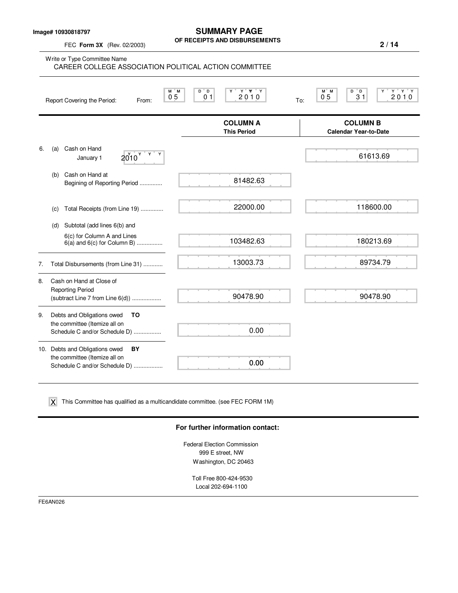**Image# 10930818797**

FEC **Form 3X** (Rev. 02/2003)

**SUMMARY PAGE OF RECEIPTS AND DISBURSEMENTS**

**2 / 14**

Write or Type Committee Name M M D D Y Y YY Y M M D D Y Y Y Y Report Covering the Period: From: 05 01 2010 To: **COLUMN A** COLUMN B<br>
This Period Calendar Year-to-Da **Calendar Year-to-Date** 6. (a) Cash on Hand January 1  $2010^{\gamma}$ (b) Cash on Hand at Begining of Reporting Period .............. (c) Total Receipts (from Line 19) .............. (d) Subtotal (add lines 6(b) and 6(c) for Column A and Lines 6(a) and 6(c) for Column B) ................ 7. Total Disbursements (from Line 31) ............ 8. Cash on Hand at Close of Reporting Period (subtract Line 7 from Line 6(d)) .................. 9. Debts and Obligations owed **TO** the committee (Itemize all on Schedule C and/or Schedule D) ................. 10. Debts and Obligations owed **BY** the committee (Itemize all on Schedule C and/or Schedule D) ................. 0 5 0 1 2 0 1 0 0 5 3 1 2 0 1 0 CAREER COLLEGE ASSOCIATION POLITICAL ACTION COMMITTEE 81482.63 22000.00 103482.63 13003.73 90478.90 0.00 0.00  $2010^{\circ}$  61613.69 118600.00 180213.69 89734.79 90478.90

 $\boldsymbol{\mathsf{X}}$  This Committee has qualified as a multicandidate committee. (see FEC FORM 1M)

#### **For further information contact:**

Federal Election Commission 999 E street, NW Washington, DC 20463

Toll Free 800-424-9530 Local 202-694-1100

FE6AN026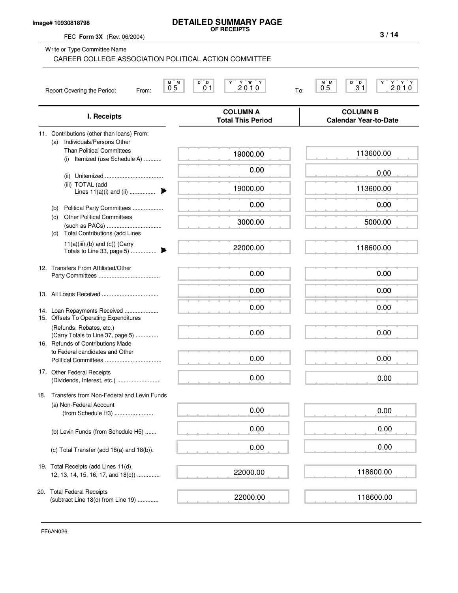#### **Image# 10930818798**

# **DETAILED SUMMARY PAGE OF RECEIPTS**

FEC **Form 3X** (Rev. 06/2004)

| Write or Type Committee Name<br>CAREER COLLEGE ASSOCIATION POLITICAL ACTION COMMITTEE                                  |                                                                                                                                                                            |                                                                              |
|------------------------------------------------------------------------------------------------------------------------|----------------------------------------------------------------------------------------------------------------------------------------------------------------------------|------------------------------------------------------------------------------|
| M M<br>0 <sub>5</sub><br>Report Covering the Period:<br>From:                                                          | $\begin{array}{c} \n\begin{array}{c}\n\mathbf{Y} \\ \mathbf{Y} \\ \mathbf{Y}\n\end{array} \\ \mathbf{Y} \\ \mathbf{Y} \\ \mathbf{Y}\n\end{array}$<br>D D<br>0 <sub>1</sub> | M M<br>$D^{\top}D$<br>Y Y<br>3 <sup>1</sup><br>2010<br>0 <sub>5</sub><br>To: |
| I. Receipts                                                                                                            | <b>COLUMN A</b><br><b>Total This Period</b>                                                                                                                                | <b>COLUMN B</b><br><b>Calendar Year-to-Date</b>                              |
| 11. Contributions (other than loans) From:<br>Individuals/Persons Other<br>(a)<br><b>Than Political Committees</b>     | 19000.00                                                                                                                                                                   | 113600.00                                                                    |
| (i) Itemized (use Schedule A)                                                                                          | 0.00                                                                                                                                                                       | 0.00                                                                         |
| (ii)<br>(iii) TOTAL (add<br>Lines $11(a)(i)$ and (ii)                                                                  | 19000.00                                                                                                                                                                   | 113600.00                                                                    |
| Political Party Committees<br>(b)                                                                                      | 0.00                                                                                                                                                                       | 0.00                                                                         |
| <b>Other Political Committees</b><br>(c)                                                                               | 3000.00                                                                                                                                                                    | 5000.00                                                                      |
| <b>Total Contributions (add Lines</b><br>(d)<br>$11(a)(iii),(b)$ and $(c)$ ) (Carry<br>Totals to Line 33, page 5)<br>₱ | 22000.00                                                                                                                                                                   | 118600.00                                                                    |
| 12. Transfers From Affiliated/Other                                                                                    | 0.00                                                                                                                                                                       | 0.00                                                                         |
|                                                                                                                        | 0.00                                                                                                                                                                       | 0.00                                                                         |
| 14. Loan Repayments Received<br>15. Offsets To Operating Expenditures                                                  | 0.00                                                                                                                                                                       | 0.00                                                                         |
| (Refunds, Rebates, etc.)<br>(Carry Totals to Line 37, page 5)<br>16. Refunds of Contributions Made                     | 0.00                                                                                                                                                                       | 0.00                                                                         |
| to Federal candidates and Other                                                                                        | 0.00                                                                                                                                                                       | 0.00                                                                         |
| 17. Other Federal Receipts<br>(Dividends, Interest, etc.)                                                              | 0.00                                                                                                                                                                       | 0.00                                                                         |
| Transfers from Non-Federal and Levin Funds<br>18.                                                                      |                                                                                                                                                                            |                                                                              |
| (a) Non-Federal Account<br>(from Schedule H3)                                                                          | 0.00                                                                                                                                                                       | 0.00                                                                         |
| (b) Levin Funds (from Schedule H5)                                                                                     | 0.00                                                                                                                                                                       | 0.00                                                                         |
| (c) Total Transfer (add 18(a) and 18(b)).                                                                              | 0.00                                                                                                                                                                       | 0.00                                                                         |
| 19. Total Receipts (add Lines 11(d),<br>12, 13, 14, 15, 16, 17, and 18(c))                                             | 22000.00                                                                                                                                                                   | 118600.00                                                                    |
| 20. Total Federal Receipts<br>(subtract Line 18(c) from Line 19)                                                       | 22000.00                                                                                                                                                                   | 118600.00                                                                    |

**3 / 14**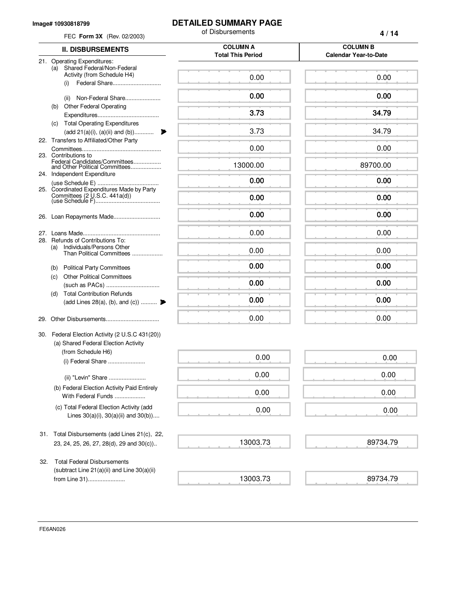#### **Image# 10930818799**

### **DETAILED SUMMARY PAGE**

|     | FEC Form 3X (Rev. 02/2003)                                                                                              | of Disbursements                            | 4/14                                            |
|-----|-------------------------------------------------------------------------------------------------------------------------|---------------------------------------------|-------------------------------------------------|
|     | <b>II. DISBURSEMENTS</b>                                                                                                | <b>COLUMN A</b><br><b>Total This Period</b> | <b>COLUMN B</b><br><b>Calendar Year-to-Date</b> |
|     | 21. Operating Expenditures:<br>Shared Federal/Non-Federal<br>(a)<br>Activity (from Schedule H4)<br>Federal Share<br>(i) | 0.00                                        | 0.00                                            |
|     | Non-Federal Share<br>(ii)                                                                                               | 0.00                                        | 0.00                                            |
|     | Other Federal Operating<br>(b)                                                                                          | 3.73                                        | 34.79                                           |
|     | <b>Total Operating Expenditures</b><br>(c)<br>$(\text{add } 21(a)(i), (a)(ii) \text{ and } (b)) \dots \dots \dots$<br>₽ | 3.73                                        | 34.79                                           |
|     | 22. Transfers to Affiliated/Other Party                                                                                 | 0.00                                        | 0.00                                            |
|     | 23. Contributions to<br>Federal Candidates/Committees<br>and Other Political Committees                                 | 13000.00                                    | 89700.00                                        |
|     | 24. Independent Expenditure                                                                                             | 0.00                                        | 0.00                                            |
|     | 25. Coordinated Expenditures Made by Party<br>Committees (2 U.S.C. 441a(d))                                             | 0.00                                        | 0.00                                            |
| 26. | Loan Repayments Made                                                                                                    | 0.00                                        | 0.00                                            |
| 27. | Refunds of Contributions To:                                                                                            | 0.00                                        | 0.00                                            |
| 28. | Individuals/Persons Other<br>(a)<br>Than Political Committees                                                           | 0.00                                        | 0.00                                            |
|     | <b>Political Party Committees</b><br>(b)                                                                                | 0.00                                        | 0.00                                            |
|     | <b>Other Political Committees</b><br>(c)                                                                                | 0.00                                        | 0.00                                            |
|     | <b>Total Contribution Refunds</b><br>(d)<br>(add Lines 28(a), (b), and (c))                                             | 0.00                                        | 0.00                                            |
|     |                                                                                                                         | 0.00                                        | 0.00                                            |
|     | 30. Federal Election Activity (2 U.S.C 431(20))<br>(a) Shared Federal Election Activity                                 |                                             |                                                 |
|     | (from Schedule H6)<br>(i) Federal Share.                                                                                | 0.00                                        | 0.00                                            |
|     | (ii) "Levin" Share                                                                                                      | 0.00                                        | 0.00                                            |
|     | (b) Federal Election Activity Paid Entirely<br>With Federal Funds                                                       | 0.00                                        | 0.00                                            |
|     | (c) Total Federal Election Activity (add<br>Lines $30(a)(i)$ , $30(a)(ii)$ and $30(b)$ )                                | 0.00                                        | 0.00                                            |
|     | 31. Total Disbursements (add Lines 21(c), 22,<br>23, 24, 25, 26, 27, 28(d), 29 and 30(c))                               | 13003.73                                    | 89734.79                                        |
| 32. | <b>Total Federal Disbursements</b><br>(subtract Line 21(a)(ii) and Line 30(a)(ii)                                       |                                             |                                                 |
|     | from Line 31)                                                                                                           | 13003.73                                    | 89734.79                                        |

FE6AN026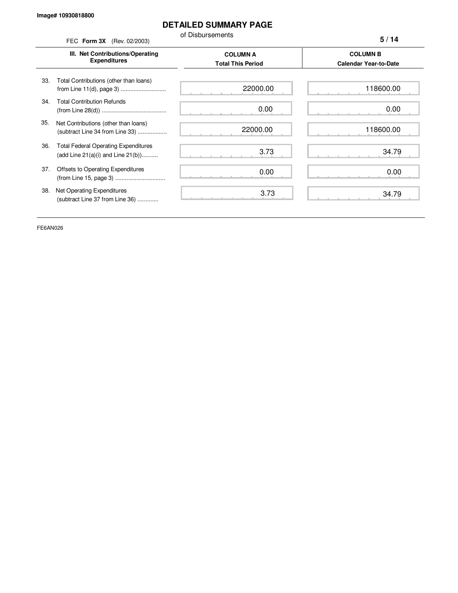### **DETAILED SUMMARY PAGE**

of Disbursements

FEC **Form 3X** (Rev. 02/2003) **III. Net Contributions/Operating Expenditures COLUMN A COLUMN B Total This Period Calendar Year-to-Date** from Line 11(d), page 3) ............................ 33. Total Contributions (other than loans) 34. Total Contribution Refunds (from Line 28(d)) ........................................ 35. Net Contributions (other than loans) (subtract Line 34 from Line 33) .................. 36. Total Federal Operating Expenditures (add Line 21(a)(i) and Line 21(b)).......... 37. Offsets to Operating Expenditures (from Line 15, page 3) ............................... 38. Net Operating Expenditures (subtract Line 37 from Line 36) ............. **5 / 14** 22000.00 0.00 22000.00 3.73 0.00 3.73 118600.00 0.00 118600.00 34.79 0.00 34.79

FE6AN026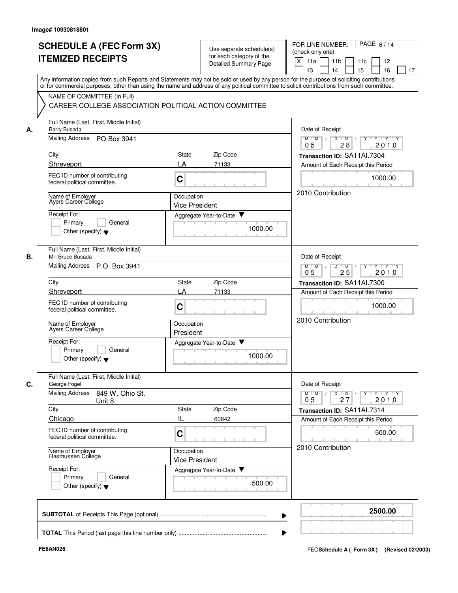|    | <b>SCHEDULE A (FEC Form 3X)</b>                               | Use separate schedule(s)                                                                                                                   | PAGE 6/14<br>FOR LINE NUMBER:                                                         |
|----|---------------------------------------------------------------|--------------------------------------------------------------------------------------------------------------------------------------------|---------------------------------------------------------------------------------------|
|    | <b>ITEMIZED RECEIPTS</b>                                      | for each category of the                                                                                                                   | (check only one)                                                                      |
|    |                                                               | Detailed Summary Page                                                                                                                      | X<br>11a<br>11 <sub>b</sub><br>11c<br>12                                              |
|    |                                                               |                                                                                                                                            | 15<br>16<br>13<br>14<br>17                                                            |
|    |                                                               | Any information copied from such Reports and Statements may not be sold or used by any person for the purpose of soliciting contributions  |                                                                                       |
|    |                                                               | or for commercial purposes, other than using the name and address of any political committee to solicit contributions from such committee. |                                                                                       |
|    | NAME OF COMMITTEE (In Full)                                   |                                                                                                                                            |                                                                                       |
|    | CAREER COLLEGE ASSOCIATION POLITICAL ACTION COMMITTEE         |                                                                                                                                            |                                                                                       |
|    |                                                               |                                                                                                                                            |                                                                                       |
| А. | Full Name (Last, First, Middle Initial)<br>Barry Busada       |                                                                                                                                            | Date of Receipt                                                                       |
|    | Mailing Address PO Box 3941                                   |                                                                                                                                            | $Y+Y$<br>$M$ $M$ /<br>D<br>$\overline{D}$                                             |
|    |                                                               |                                                                                                                                            | 28<br>2010<br>05                                                                      |
|    | City                                                          | Zip Code<br>State                                                                                                                          | Transaction ID: SA11Al.7304                                                           |
|    | Shreveport                                                    | LA<br>71133                                                                                                                                | Amount of Each Receipt this Period                                                    |
|    | FEC ID number of contributing                                 |                                                                                                                                            |                                                                                       |
|    | federal political committee.                                  | C                                                                                                                                          | 1000.00                                                                               |
|    |                                                               |                                                                                                                                            | 2010 Contribution                                                                     |
|    | Name of Employer<br>Ayers Career College                      | Occupation                                                                                                                                 |                                                                                       |
|    |                                                               | <b>Vice President</b>                                                                                                                      |                                                                                       |
|    | Receipt For:                                                  | Aggregate Year-to-Date ▼                                                                                                                   |                                                                                       |
|    | General<br>Primary                                            | 1000.00                                                                                                                                    |                                                                                       |
|    | Other (specify) $\blacktriangledown$                          |                                                                                                                                            |                                                                                       |
|    |                                                               |                                                                                                                                            |                                                                                       |
|    | Full Name (Last, First, Middle Initial)                       |                                                                                                                                            |                                                                                       |
| В. | Mr. Bruce Busada                                              |                                                                                                                                            | Date of Receipt                                                                       |
|    | Mailing Address<br>P.O. Box 3941                              |                                                                                                                                            | D<br>$\overline{D}$<br>Y 'Y 'Y<br>$M$ M<br>25<br>2010<br>05                           |
|    | City                                                          | Zip Code<br><b>State</b>                                                                                                                   | Transaction ID: SA11Al.7300                                                           |
|    | Shreveport                                                    | LA<br>71133                                                                                                                                | Amount of Each Receipt this Period                                                    |
|    |                                                               |                                                                                                                                            |                                                                                       |
|    | FEC ID number of contributing<br>federal political committee. | C                                                                                                                                          | 1000.00                                                                               |
|    |                                                               |                                                                                                                                            |                                                                                       |
|    | Name of Employer<br>Ayers Career College                      | Occupation                                                                                                                                 | 2010 Contribution                                                                     |
|    |                                                               | President                                                                                                                                  |                                                                                       |
|    | Receipt For:                                                  | Aggregate Year-to-Date ▼                                                                                                                   |                                                                                       |
|    | Primary<br>General                                            |                                                                                                                                            |                                                                                       |
|    | Other (specify) $\blacktriangledown$                          | 1000.00                                                                                                                                    |                                                                                       |
|    |                                                               |                                                                                                                                            |                                                                                       |
|    | Full Name (Last, First, Middle Initial)                       |                                                                                                                                            |                                                                                       |
| C. | George Fogel                                                  |                                                                                                                                            | Date of Receipt                                                                       |
|    | <b>Mailing Address</b><br>849 W. Ohio St.<br>Unit 8           |                                                                                                                                            | $Y + Y + Y$<br>$D$ $D$ $I$<br>$\Gamma Y$<br>$M$ $M$ /<br>0 <sub>5</sub><br>27<br>2010 |
|    | City                                                          | Zip Code<br>State                                                                                                                          | Transaction ID: SA11Al.7314                                                           |
|    | Chicago                                                       | Ш<br>60642                                                                                                                                 | Amount of Each Receipt this Period                                                    |
|    |                                                               |                                                                                                                                            |                                                                                       |
|    | FEC ID number of contributing<br>federal political committee. | С                                                                                                                                          | 500.00                                                                                |
|    |                                                               |                                                                                                                                            |                                                                                       |
|    | Name of Employer                                              | Occupation                                                                                                                                 | 2010 Contribution                                                                     |
|    | Rasmussen College                                             | <b>Vice President</b>                                                                                                                      |                                                                                       |
|    | Receipt For:                                                  | Aggregate Year-to-Date                                                                                                                     |                                                                                       |
|    | Primary<br>General                                            |                                                                                                                                            |                                                                                       |
|    | Other (specify) $\blacktriangledown$                          | 500.00                                                                                                                                     |                                                                                       |
|    |                                                               |                                                                                                                                            |                                                                                       |
|    |                                                               |                                                                                                                                            |                                                                                       |
|    |                                                               |                                                                                                                                            | 2500.00                                                                               |
|    |                                                               |                                                                                                                                            |                                                                                       |
|    |                                                               |                                                                                                                                            |                                                                                       |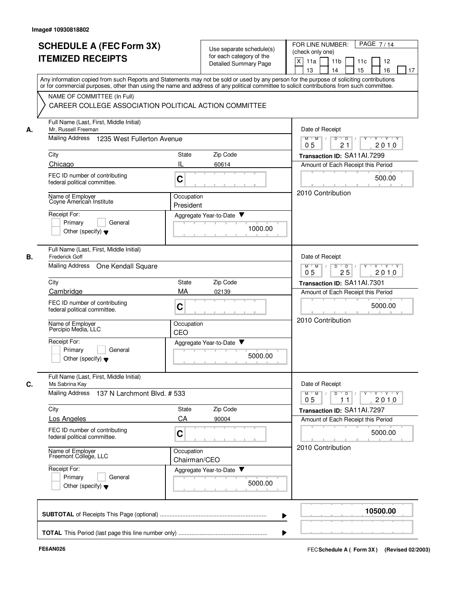|    | <b>SCHEDULE A (FEC Form 3X)</b><br><b>ITEMIZED RECEIPTS</b>                                                                                                                                                                                                                             |                            | Use separate schedule(s)<br>for each category of the<br><b>Detailed Summary Page</b> | PAGE 7/14<br>FOR LINE NUMBER:<br>(check only one)<br>X<br>11a<br>11 <sub>b</sub><br>11c<br>12<br>13<br>14<br>15<br>16<br>17 |
|----|-----------------------------------------------------------------------------------------------------------------------------------------------------------------------------------------------------------------------------------------------------------------------------------------|----------------------------|--------------------------------------------------------------------------------------|-----------------------------------------------------------------------------------------------------------------------------|
|    | Any information copied from such Reports and Statements may not be sold or used by any person for the purpose of soliciting contributions<br>or for commercial purposes, other than using the name and address of any political committee to solicit contributions from such committee. |                            |                                                                                      |                                                                                                                             |
|    | NAME OF COMMITTEE (In Full)<br>CAREER COLLEGE ASSOCIATION POLITICAL ACTION COMMITTEE                                                                                                                                                                                                    |                            |                                                                                      |                                                                                                                             |
| А. | Full Name (Last, First, Middle Initial)<br>Mr. Russell Freeman                                                                                                                                                                                                                          |                            |                                                                                      | Date of Receipt                                                                                                             |
|    | <b>Mailing Address</b><br>1235 West Fullerton Avenue                                                                                                                                                                                                                                    |                            |                                                                                      | Y Y Y Y<br>$M^+$ M<br>$\vert$ /<br>D<br>$\overline{D}$<br>2010<br>05<br>21                                                  |
|    | City                                                                                                                                                                                                                                                                                    | State                      | Zip Code                                                                             | Transaction ID: SA11Al.7299                                                                                                 |
|    | Chicago                                                                                                                                                                                                                                                                                 | IL                         | 60614                                                                                | Amount of Each Receipt this Period                                                                                          |
|    | FEC ID number of contributing<br>federal political committee.                                                                                                                                                                                                                           | C                          |                                                                                      | 500.00                                                                                                                      |
|    | Name of Employer<br>Coyne American Institute                                                                                                                                                                                                                                            | Occupation<br>President    |                                                                                      | 2010 Contribution                                                                                                           |
|    | Receipt For:<br>General<br>Primarv<br>Other (specify) $\blacktriangledown$                                                                                                                                                                                                              |                            | Aggregate Year-to-Date ▼<br>1000.00                                                  |                                                                                                                             |
| В. | Full Name (Last, First, Middle Initial)<br><b>Frederick Goff</b>                                                                                                                                                                                                                        |                            |                                                                                      | Date of Receipt                                                                                                             |
|    | Mailing Address<br>One Kendall Square                                                                                                                                                                                                                                                   |                            |                                                                                      | $Y \vdash Y \vdash Y$<br>$M$ M<br>D<br>$\Box$ D $\Box$ /<br>Y<br>25<br>2010<br>05                                           |
|    | City                                                                                                                                                                                                                                                                                    | State                      | Zip Code                                                                             | Transaction ID: SA11Al.7301                                                                                                 |
|    | Cambridge<br>FEC ID number of contributing<br>federal political committee.                                                                                                                                                                                                              | MA<br>C                    | 02139                                                                                | Amount of Each Receipt this Period<br>5000.00                                                                               |
|    | Name of Employer<br>Percipio Media, LLC                                                                                                                                                                                                                                                 | Occupation<br>CEO          |                                                                                      | 2010 Contribution                                                                                                           |
|    | Receipt For:<br>Primary<br>General<br>Other (specify) $\blacktriangledown$                                                                                                                                                                                                              |                            | Aggregate Year-to-Date<br>5000.00                                                    |                                                                                                                             |
| С. | Full Name (Last, First, Middle Initial)<br>Ms Sabrina Kay                                                                                                                                                                                                                               |                            |                                                                                      | Date of Receipt                                                                                                             |
|    | <b>Mailing Address</b><br>137 N Larchmont Blvd. # 533                                                                                                                                                                                                                                   |                            |                                                                                      | YULYULYULY<br>$M$ $M$ /<br>D<br>$\overline{D}$<br>2010<br>05<br>11                                                          |
|    | City                                                                                                                                                                                                                                                                                    | State                      | Zip Code                                                                             | Transaction ID: SA11Al.7297                                                                                                 |
|    | Los Angeles                                                                                                                                                                                                                                                                             | CA                         | 90004                                                                                | Amount of Each Receipt this Period                                                                                          |
|    | FEC ID number of contributing<br>federal political committee.                                                                                                                                                                                                                           | C                          |                                                                                      | 5000.00                                                                                                                     |
|    | Name of Employer<br>Freemont College, LLC                                                                                                                                                                                                                                               | Occupation<br>Chairman/CEO |                                                                                      | 2010 Contribution                                                                                                           |
|    | Receipt For:<br>Primary<br>General<br>Other (specify) $\blacktriangledown$                                                                                                                                                                                                              |                            | Aggregate Year-to-Date<br>5000.00                                                    |                                                                                                                             |
|    |                                                                                                                                                                                                                                                                                         |                            |                                                                                      | 10500.00                                                                                                                    |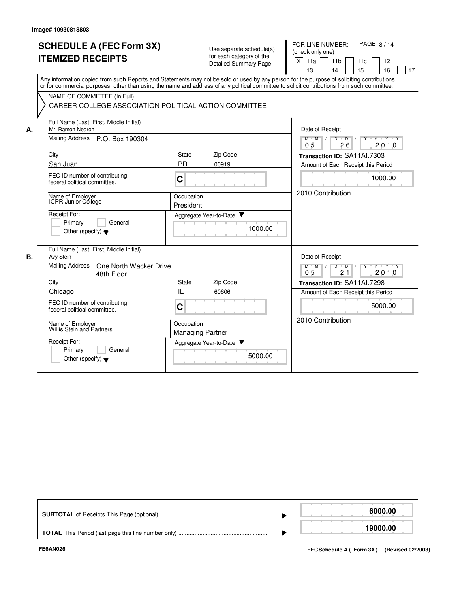|    | <b>SCHEDULE A (FEC Form 3X)</b>                                                                                                                                                                                                                                                         |                         | Use separate schedule(s)                    | PAGE 8/14<br>FOR LINE NUMBER:                                                  |
|----|-----------------------------------------------------------------------------------------------------------------------------------------------------------------------------------------------------------------------------------------------------------------------------------------|-------------------------|---------------------------------------------|--------------------------------------------------------------------------------|
|    | <b>ITEMIZED RECEIPTS</b>                                                                                                                                                                                                                                                                |                         | for each category of the                    | (check only one)                                                               |
|    |                                                                                                                                                                                                                                                                                         |                         | <b>Detailed Summary Page</b>                | X<br>11a<br>11 <sub>b</sub><br>11c<br>12<br>15<br>13<br>14<br>16<br>17         |
|    | Any information copied from such Reports and Statements may not be sold or used by any person for the purpose of soliciting contributions<br>or for commercial purposes, other than using the name and address of any political committee to solicit contributions from such committee. |                         |                                             |                                                                                |
|    | NAME OF COMMITTEE (In Full)                                                                                                                                                                                                                                                             |                         |                                             |                                                                                |
|    | CAREER COLLEGE ASSOCIATION POLITICAL ACTION COMMITTEE                                                                                                                                                                                                                                   |                         |                                             |                                                                                |
| А. | Full Name (Last, First, Middle Initial)<br>Mr. Ramon Negron                                                                                                                                                                                                                             |                         |                                             | Date of Receipt                                                                |
|    | Mailing Address P.O. Box 190304                                                                                                                                                                                                                                                         |                         |                                             | $Y + Y + Y$<br>M<br>M<br>D<br>$\overline{D}$<br>0 <sub>5</sub><br>26<br>2010   |
|    | City                                                                                                                                                                                                                                                                                    | State                   | Zip Code                                    | Transaction ID: SA11Al.7303                                                    |
|    | San Juan                                                                                                                                                                                                                                                                                | <b>PR</b>               | 00919                                       | Amount of Each Receipt this Period                                             |
|    | FEC ID number of contributing<br>federal political committee.                                                                                                                                                                                                                           | $\mathbf C$             |                                             | 1000.00                                                                        |
|    | Name of Employer<br>ICPR Junior College                                                                                                                                                                                                                                                 | Occupation<br>President |                                             | 2010 Contribution                                                              |
|    | Receipt For:<br>Primary<br>General<br>Other (specify) $\blacktriangledown$                                                                                                                                                                                                              |                         | Aggregate Year-to-Date<br>1000.00<br>0.1011 |                                                                                |
| В. | Full Name (Last, First, Middle Initial)<br>Avy Stein                                                                                                                                                                                                                                    |                         |                                             | Date of Receipt                                                                |
|    | <b>Mailing Address</b><br>One North Wacker Drive<br>48th Floor                                                                                                                                                                                                                          |                         |                                             | $Y \cup Y \cup Y$<br>$D$ $D$<br>$M$ $M$ /<br>Y<br>0 <sub>5</sub><br>21<br>2010 |
|    | City                                                                                                                                                                                                                                                                                    | <b>State</b>            | Zip Code                                    | Transaction ID: SA11Al.7298                                                    |
|    | Chicago                                                                                                                                                                                                                                                                                 | IL                      | 60606                                       | Amount of Each Receipt this Period                                             |
|    | FEC ID number of contributing<br>federal political committee.                                                                                                                                                                                                                           | $\mathbf C$             |                                             | 5000.00                                                                        |
|    | Name of Employer<br>Willis Stein and Partners                                                                                                                                                                                                                                           | Occupation              | <b>Managing Partner</b>                     | 2010 Contribution                                                              |
|    | Receipt For:                                                                                                                                                                                                                                                                            |                         | Aggregate Year-to-Date                      |                                                                                |
|    | Primary<br>General<br>Other (specify) $\blacktriangledown$                                                                                                                                                                                                                              |                         | 5000.00                                     |                                                                                |

|  | 6000.00  |
|--|----------|
|  | 19000.00 |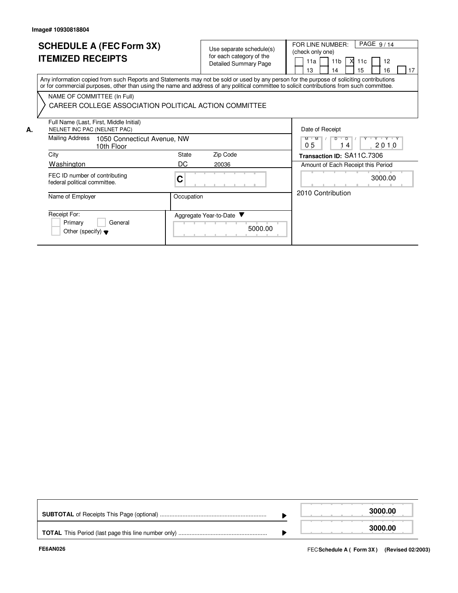**A.**

## **SCHEDULE A (FEC Form 3X) ITEMIZED RECEIPTS**

Use separate schedule(s) for each category of the Detailed Summary Page

FOR LINE NUMBER:<br>(check only one)

11b

11a

PAGE 9/14

12

11c

X

Any information copied from such Reports and Statements may not be sold or used by any person for the purpose of soliciting contributions or for commercial purposes, other than using the name and address of any political committee to solicit contributions from such committee. NAME OF COMMITTEE (In Full) Date of Receipt  $M$   $M$   $/$   $D$   $D$ Amount of Each Receipt this Period **Transaction ID:** SA11C.7306 FEC ID number of contributing federal political committee. Name of Employer **Community** Occupation **C** Full Name (Last, First, Middle Initial) Mailing Address 1050 Connecticut Avenue, NW City City Code City State Zip Code CAREER COLLEGE ASSOCIATION POLITICAL ACTION COMMITTEE 13 14 15 16  $\Box$  17 NELNET INC PAC (NELNET PAC) 10th Floor Washington DC 20036  $0 5$  | 14 | 2010 3000.00 2010 Contribution

| ivalle vi Lilipioyei                                                       | <b>OCCUPATION</b>                   |
|----------------------------------------------------------------------------|-------------------------------------|
| Receipt For:<br>Primary<br>General<br>Other (specify) $\blacktriangledown$ | Aggregate Year-to-Date ▼<br>5000.00 |

|  | 3000.00 |
|--|---------|
|  | 3000.00 |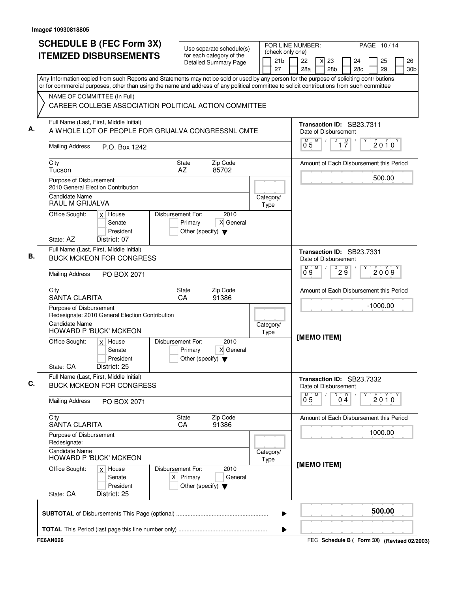| <b>SCHEDULE B (FEC Form 3X)</b>                                                                                                                                                                                                                                                                                                                                                | Use separate schedule(s)                                                                    |                                  | FOR LINE NUMBER:<br>(check only one)    |            |                |   |                                                        |                               |           |          | PAGE 10/14 |                       |
|--------------------------------------------------------------------------------------------------------------------------------------------------------------------------------------------------------------------------------------------------------------------------------------------------------------------------------------------------------------------------------|---------------------------------------------------------------------------------------------|----------------------------------|-----------------------------------------|------------|----------------|---|--------------------------------------------------------|-------------------------------|-----------|----------|------------|-----------------------|
| <b>ITEMIZED DISBURSEMENTS</b>                                                                                                                                                                                                                                                                                                                                                  | for each category of the<br><b>Detailed Summary Page</b>                                    |                                  | 21 <sub>b</sub><br>27                   |            | 22<br>28a      |   | 23<br>28 <sub>b</sub>                                  |                               | 24<br>28c | 25<br>29 |            | 26<br>30 <sub>b</sub> |
| Any Information copied from such Reports and Statements may not be sold or used by any person for the purpose of soliciting contributions<br>or for commercial purposes, other than using the name and address of any political committee to solicit contributions from such committee<br>NAME OF COMMITTEE (In Full)<br>CAREER COLLEGE ASSOCIATION POLITICAL ACTION COMMITTEE |                                                                                             |                                  |                                         |            |                |   |                                                        |                               |           |          |            |                       |
| Full Name (Last, First, Middle Initial)<br>A WHOLE LOT OF PEOPLE FOR GRIJALVA CONGRESSNL CMTE                                                                                                                                                                                                                                                                                  |                                                                                             |                                  |                                         |            |                | M | Transaction ID: SB23.7311<br>Date of Disbursement<br>D |                               |           |          |            |                       |
| <b>Mailing Address</b><br>P.O. Box 1242                                                                                                                                                                                                                                                                                                                                        |                                                                                             |                                  |                                         |            | 0 <sub>5</sub> |   |                                                        | $\overline{1}$ $\overline{7}$ |           |          | $2010^y$   |                       |
| City<br>Tucson                                                                                                                                                                                                                                                                                                                                                                 | Zip Code<br><b>State</b><br>AZ<br>85702                                                     |                                  |                                         |            |                |   | Amount of Each Disbursement this Period                |                               |           |          |            |                       |
| Purpose of Disbursement<br>2010 General Election Contribution                                                                                                                                                                                                                                                                                                                  |                                                                                             |                                  |                                         |            |                |   |                                                        |                               |           | 500.00   |            |                       |
| Candidate Name<br>RAUL M GRIJALVA                                                                                                                                                                                                                                                                                                                                              |                                                                                             |                                  | Category/<br>Type                       |            |                |   |                                                        |                               |           |          |            |                       |
| Office Sought:<br>$x$ House<br>Senate<br>President<br>District: 07<br>State: AZ                                                                                                                                                                                                                                                                                                | Disbursement For:<br>2010<br>X General<br>Primary<br>Other (specify) $\blacktriangledown$   |                                  |                                         |            |                |   |                                                        |                               |           |          |            |                       |
| Full Name (Last, First, Middle Initial)<br><b>BUCK MCKEON FOR CONGRESS</b>                                                                                                                                                                                                                                                                                                     |                                                                                             |                                  |                                         |            | 0°9            | M | Transaction ID: SB23.7331<br>Date of Disbursement<br>D |                               |           |          |            |                       |
| <b>Mailing Address</b><br>PO BOX 2071                                                                                                                                                                                                                                                                                                                                          |                                                                                             |                                  |                                         |            |                |   |                                                        | 29                            |           | 2009     |            |                       |
| City<br><b>SANTA CLARITA</b>                                                                                                                                                                                                                                                                                                                                                   |                                                                                             |                                  | Amount of Each Disbursement this Period |            |                |   |                                                        |                               |           |          |            |                       |
| Purpose of Disbursement<br>Redesignate: 2010 General Election Contribution                                                                                                                                                                                                                                                                                                     |                                                                                             |                                  |                                         | $-1000.00$ |                |   |                                                        |                               |           |          |            |                       |
| <b>Candidate Name</b><br>HOWARD P 'BUCK' MCKEON                                                                                                                                                                                                                                                                                                                                |                                                                                             | Category/<br>Type<br>[MEMO ITEM] |                                         |            |                |   |                                                        |                               |           |          |            |                       |
| Office Sought:<br>$x$ House<br>Senate<br>President<br>District: 25<br>State: CA                                                                                                                                                                                                                                                                                                | Disbursement For:<br>2010<br>X General<br>Primary<br>Other (specify) $\blacktriangledown$   |                                  |                                         |            |                |   |                                                        |                               |           |          |            |                       |
| Full Name (Last, First, Middle Initial)<br><b>BUCK MCKEON FOR CONGRESS</b>                                                                                                                                                                                                                                                                                                     |                                                                                             |                                  |                                         |            |                |   | Transaction ID: SB23.7332<br>Date of Disbursement      |                               |           |          |            |                       |
| <b>Mailing Address</b><br>PO BOX 2071                                                                                                                                                                                                                                                                                                                                          |                                                                                             |                                  |                                         |            | 0 <sub>5</sub> | M | D                                                      | $0\frac{D}{4}$                |           | 2010     |            |                       |
| City<br><b>SANTA CLARITA</b>                                                                                                                                                                                                                                                                                                                                                   | Zip Code<br><b>State</b><br>CA<br>91386                                                     |                                  |                                         |            |                |   | Amount of Each Disbursement this Period                |                               |           |          |            |                       |
| Purpose of Disbursement<br>Redesignate:                                                                                                                                                                                                                                                                                                                                        |                                                                                             |                                  |                                         |            |                |   |                                                        |                               |           | 1000.00  |            |                       |
| <b>Candidate Name</b><br><b>HOWARD P 'BUCK' MCKEON</b>                                                                                                                                                                                                                                                                                                                         |                                                                                             |                                  | Category/<br>Type                       |            |                |   |                                                        |                               |           |          |            |                       |
| Office Sought:<br>$x \mid$ House<br>Senate<br>President<br>State: CA<br>District: 25                                                                                                                                                                                                                                                                                           | Disbursement For:<br>2010<br>$X$ Primary<br>General<br>Other (specify) $\blacktriangledown$ |                                  |                                         |            |                |   | [MEMO ITEM]                                            |                               |           |          |            |                       |
|                                                                                                                                                                                                                                                                                                                                                                                |                                                                                             |                                  | ▶                                       |            |                |   |                                                        |                               |           | 500.00   |            |                       |
|                                                                                                                                                                                                                                                                                                                                                                                |                                                                                             |                                  | ▶                                       |            |                |   |                                                        |                               |           |          |            |                       |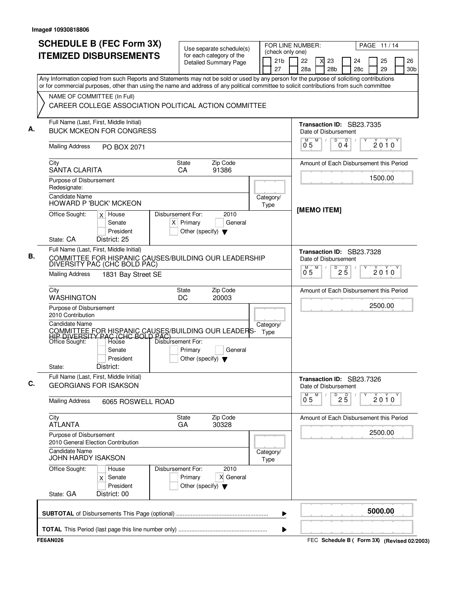| (check only one)<br><b>ITEMIZED DISBURSEMENTS</b><br>for each category of the<br>21 <sub>b</sub><br>22<br>23<br>24<br><b>Detailed Summary Page</b><br>27<br>28 <sub>b</sub><br>28 <sub>c</sub><br>28a<br>Any Information copied from such Reports and Statements may not be sold or used by any person for the purpose of soliciting contributions<br>or for commercial purposes, other than using the name and address of any political committee to solicit contributions from such committee<br>NAME OF COMMITTEE (In Full)<br>CAREER COLLEGE ASSOCIATION POLITICAL ACTION COMMITTEE<br>Full Name (Last, First, Middle Initial)<br>Transaction ID: SB23.7335<br>А.<br><b>BUCK MCKEON FOR CONGRESS</b><br>Date of Disbursement<br>$\overline{D}$<br>M<br>D<br>M<br>$\sqrt{ }$<br>04<br>05<br><b>Mailing Address</b><br>PO BOX 2071<br>Zip Code<br>City<br>State<br>Amount of Each Disbursement this Period<br><b>SANTA CLARITA</b><br>91386<br>CA<br>Purpose of Disbursement<br>Redesignate:<br><b>Candidate Name</b><br>Category/<br><b>HOWARD P 'BUCK' MCKEON</b><br>Type<br>[MEMO ITEM]<br>Office Sought:<br>Disbursement For:<br>2010<br>$x$ House<br>$X$ Primary<br>General<br>Senate<br>President<br>Other (specify) $\blacktriangledown$<br>State: CA<br>District: 25 | 26<br>25<br>29<br>30 <sub>b</sub><br>$2010^y$<br>1500.00 |
|--------------------------------------------------------------------------------------------------------------------------------------------------------------------------------------------------------------------------------------------------------------------------------------------------------------------------------------------------------------------------------------------------------------------------------------------------------------------------------------------------------------------------------------------------------------------------------------------------------------------------------------------------------------------------------------------------------------------------------------------------------------------------------------------------------------------------------------------------------------------------------------------------------------------------------------------------------------------------------------------------------------------------------------------------------------------------------------------------------------------------------------------------------------------------------------------------------------------------------------------------------------------------------|----------------------------------------------------------|
|                                                                                                                                                                                                                                                                                                                                                                                                                                                                                                                                                                                                                                                                                                                                                                                                                                                                                                                                                                                                                                                                                                                                                                                                                                                                                |                                                          |
|                                                                                                                                                                                                                                                                                                                                                                                                                                                                                                                                                                                                                                                                                                                                                                                                                                                                                                                                                                                                                                                                                                                                                                                                                                                                                |                                                          |
|                                                                                                                                                                                                                                                                                                                                                                                                                                                                                                                                                                                                                                                                                                                                                                                                                                                                                                                                                                                                                                                                                                                                                                                                                                                                                |                                                          |
|                                                                                                                                                                                                                                                                                                                                                                                                                                                                                                                                                                                                                                                                                                                                                                                                                                                                                                                                                                                                                                                                                                                                                                                                                                                                                |                                                          |
|                                                                                                                                                                                                                                                                                                                                                                                                                                                                                                                                                                                                                                                                                                                                                                                                                                                                                                                                                                                                                                                                                                                                                                                                                                                                                |                                                          |
|                                                                                                                                                                                                                                                                                                                                                                                                                                                                                                                                                                                                                                                                                                                                                                                                                                                                                                                                                                                                                                                                                                                                                                                                                                                                                |                                                          |
|                                                                                                                                                                                                                                                                                                                                                                                                                                                                                                                                                                                                                                                                                                                                                                                                                                                                                                                                                                                                                                                                                                                                                                                                                                                                                |                                                          |
|                                                                                                                                                                                                                                                                                                                                                                                                                                                                                                                                                                                                                                                                                                                                                                                                                                                                                                                                                                                                                                                                                                                                                                                                                                                                                |                                                          |
|                                                                                                                                                                                                                                                                                                                                                                                                                                                                                                                                                                                                                                                                                                                                                                                                                                                                                                                                                                                                                                                                                                                                                                                                                                                                                |                                                          |
| Full Name (Last, First, Middle Initial)<br>Transaction ID: SB23.7328<br>В.<br>COMMITTEE FOR HISPANIC CAUSES/BUILDING OUR LEADERSHIP<br>Date of Disbursement<br>DIVERSITY PAC (CHC BOLD PAC)<br>M<br>D<br>M                                                                                                                                                                                                                                                                                                                                                                                                                                                                                                                                                                                                                                                                                                                                                                                                                                                                                                                                                                                                                                                                     |                                                          |
| $2\overline{5}$<br>$0^{\degree}5$<br><b>Mailing Address</b><br>1831 Bay Street SE                                                                                                                                                                                                                                                                                                                                                                                                                                                                                                                                                                                                                                                                                                                                                                                                                                                                                                                                                                                                                                                                                                                                                                                              | 2010                                                     |
| Zip Code<br>City<br><b>State</b><br>Amount of Each Disbursement this Period<br><b>WASHINGTON</b><br>DC<br>20003                                                                                                                                                                                                                                                                                                                                                                                                                                                                                                                                                                                                                                                                                                                                                                                                                                                                                                                                                                                                                                                                                                                                                                |                                                          |
| Purpose of Disbursement<br>2010 Contribution                                                                                                                                                                                                                                                                                                                                                                                                                                                                                                                                                                                                                                                                                                                                                                                                                                                                                                                                                                                                                                                                                                                                                                                                                                   | 2500.00                                                  |
| <b>Candidate Name</b><br>Category/<br>COMMITTEE FOR HISPANIC CAUSES/BUILDING OUR LEADERS-<br>HIP DIVERSITY PAC (CHC BOLD PAC)<br>Type                                                                                                                                                                                                                                                                                                                                                                                                                                                                                                                                                                                                                                                                                                                                                                                                                                                                                                                                                                                                                                                                                                                                          |                                                          |
| Disbursement For:<br>Office Sought:<br>Hoùse<br>Primary<br>General<br>Senate<br>President<br>Other (specify) $\blacktriangledown$<br>District:<br>State:                                                                                                                                                                                                                                                                                                                                                                                                                                                                                                                                                                                                                                                                                                                                                                                                                                                                                                                                                                                                                                                                                                                       |                                                          |
| Full Name (Last, First, Middle Initial)<br>Transaction ID: SB23.7326<br>C.<br><b>GEORGIANS FOR ISAKSON</b><br>Date of Disbursement                                                                                                                                                                                                                                                                                                                                                                                                                                                                                                                                                                                                                                                                                                                                                                                                                                                                                                                                                                                                                                                                                                                                             |                                                          |
| М<br>M<br>D<br>$2\overline{5}$<br>0 <sub>5</sub><br><b>Mailing Address</b><br>6065 ROSWELL ROAD                                                                                                                                                                                                                                                                                                                                                                                                                                                                                                                                                                                                                                                                                                                                                                                                                                                                                                                                                                                                                                                                                                                                                                                | $2010^y$                                                 |
| City<br>State<br>Zip Code<br>Amount of Each Disbursement this Period<br><b>ATLANTA</b><br>30328<br>GA                                                                                                                                                                                                                                                                                                                                                                                                                                                                                                                                                                                                                                                                                                                                                                                                                                                                                                                                                                                                                                                                                                                                                                          |                                                          |
| Purpose of Disbursement<br>2010 General Election Contribution                                                                                                                                                                                                                                                                                                                                                                                                                                                                                                                                                                                                                                                                                                                                                                                                                                                                                                                                                                                                                                                                                                                                                                                                                  | 2500.00                                                  |
| <b>Candidate Name</b><br>Category/<br><b>JOHN HARDY ISAKSON</b><br>Type                                                                                                                                                                                                                                                                                                                                                                                                                                                                                                                                                                                                                                                                                                                                                                                                                                                                                                                                                                                                                                                                                                                                                                                                        |                                                          |
| 2010<br>Office Sought:<br>Disbursement For:<br>House<br>Primary<br>X General<br>Senate<br>X<br>President<br>Other (specify) $\blacktriangledown$                                                                                                                                                                                                                                                                                                                                                                                                                                                                                                                                                                                                                                                                                                                                                                                                                                                                                                                                                                                                                                                                                                                               |                                                          |
| State: GA<br>District: 00                                                                                                                                                                                                                                                                                                                                                                                                                                                                                                                                                                                                                                                                                                                                                                                                                                                                                                                                                                                                                                                                                                                                                                                                                                                      |                                                          |
| ▶                                                                                                                                                                                                                                                                                                                                                                                                                                                                                                                                                                                                                                                                                                                                                                                                                                                                                                                                                                                                                                                                                                                                                                                                                                                                              | 5000.00                                                  |
| ▶                                                                                                                                                                                                                                                                                                                                                                                                                                                                                                                                                                                                                                                                                                                                                                                                                                                                                                                                                                                                                                                                                                                                                                                                                                                                              |                                                          |

FEC **Schedule B ( ) Form 3X FE6AN026 (Revised 02/2003)**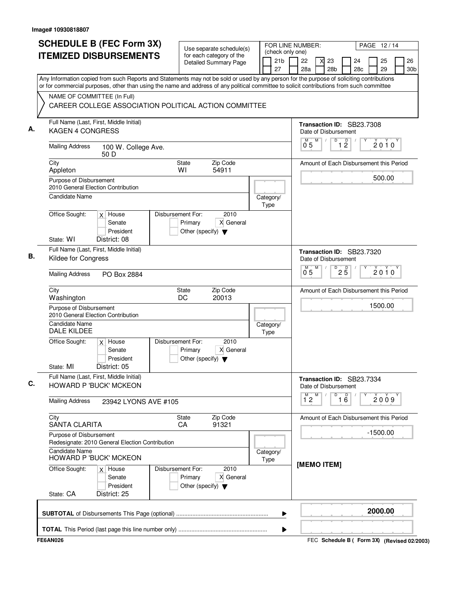| <b>SCHEDULE B (FEC Form 3X)</b>                                                                                                                                                                                                                                                        | Use separate schedule(s)                                                                  | FOR LINE NUMBER:                          |                    |   |                                                   |                               |           |            | PAGE 12/14 |                       |
|----------------------------------------------------------------------------------------------------------------------------------------------------------------------------------------------------------------------------------------------------------------------------------------|-------------------------------------------------------------------------------------------|-------------------------------------------|--------------------|---|---------------------------------------------------|-------------------------------|-----------|------------|------------|-----------------------|
| <b>ITEMIZED DISBURSEMENTS</b>                                                                                                                                                                                                                                                          | for each category of the<br><b>Detailed Summary Page</b>                                  | (check only one)<br>21 <sub>b</sub><br>27 | 22<br>28a          |   | 23<br>28 <sub>b</sub>                             |                               | 24<br>28c |            | 25<br>29   | 26<br>30 <sub>b</sub> |
| Any Information copied from such Reports and Statements may not be sold or used by any person for the purpose of soliciting contributions<br>or for commercial purposes, other than using the name and address of any political committee to solicit contributions from such committee |                                                                                           |                                           |                    |   |                                                   |                               |           |            |            |                       |
| NAME OF COMMITTEE (In Full)<br>CAREER COLLEGE ASSOCIATION POLITICAL ACTION COMMITTEE                                                                                                                                                                                                   |                                                                                           |                                           |                    |   |                                                   |                               |           |            |            |                       |
| Full Name (Last, First, Middle Initial)<br>KAGEN 4 CONGRESS                                                                                                                                                                                                                            |                                                                                           |                                           |                    |   | Transaction ID: SB23.7308<br>Date of Disbursement |                               |           |            |            |                       |
| <b>Mailing Address</b><br>100 W. College Ave.<br>50 D                                                                                                                                                                                                                                  |                                                                                           |                                           | 0 <sub>5</sub>     | M | D                                                 | $\overline{1}$ $\overline{2}$ |           |            | $2010^y$   |                       |
| City<br>Appleton                                                                                                                                                                                                                                                                       | Zip Code<br>State<br>54911<br>WI                                                          |                                           |                    |   | Amount of Each Disbursement this Period           |                               |           |            |            |                       |
| Purpose of Disbursement<br>2010 General Election Contribution<br>Candidate Name                                                                                                                                                                                                        |                                                                                           |                                           |                    |   |                                                   |                               |           |            | 500.00     |                       |
| Office Sought:<br>$x$ House                                                                                                                                                                                                                                                            | Disbursement For:<br>2010                                                                 | Category/<br>Type                         |                    |   |                                                   |                               |           |            |            |                       |
| Senate<br>President<br>State: WI<br>District: 08                                                                                                                                                                                                                                       | X General<br>Primary<br>Other (specify) $\blacktriangledown$                              |                                           |                    |   |                                                   |                               |           |            |            |                       |
| Full Name (Last, First, Middle Initial)<br>Kildee for Congress                                                                                                                                                                                                                         |                                                                                           |                                           |                    |   | Transaction ID: SB23.7320<br>Date of Disbursement |                               |           |            |            |                       |
| <b>Mailing Address</b><br>PO Box 2884                                                                                                                                                                                                                                                  |                                                                                           |                                           | $\overline{0}^M$ 5 | M | D                                                 | $2\overline{5}$               |           |            | $2010^y$   |                       |
| City<br>Washington                                                                                                                                                                                                                                                                     | Zip Code<br>State<br>20013<br>DC                                                          |                                           |                    |   | Amount of Each Disbursement this Period           |                               |           |            |            |                       |
| Purpose of Disbursement<br>2010 General Election Contribution                                                                                                                                                                                                                          |                                                                                           |                                           |                    |   |                                                   |                               |           | 1500.00    |            |                       |
| <b>Candidate Name</b><br><b>DALE KILDEE</b>                                                                                                                                                                                                                                            |                                                                                           | Category/<br>Type                         |                    |   |                                                   |                               |           |            |            |                       |
| Office Sought:<br>$x \mid$ House<br>Senate<br>President<br>District: 05<br>State: MI                                                                                                                                                                                                   | Disbursement For:<br>2010<br>X General<br>Primary<br>Other (specify) $\blacktriangledown$ |                                           |                    |   |                                                   |                               |           |            |            |                       |
| Full Name (Last, First, Middle Initial)<br><b>HOWARD P 'BUCK' MCKEON</b>                                                                                                                                                                                                               |                                                                                           |                                           |                    |   | Transaction ID: SB23.7334<br>Date of Disbursement |                               |           |            |            |                       |
| <b>Mailing Address</b><br>23942 LYONS AVE #105                                                                                                                                                                                                                                         |                                                                                           |                                           | $1^{\circ}2$       | м | D                                                 | $\overline{16}$               |           |            | 2009       |                       |
| City<br><b>SANTA CLARITA</b>                                                                                                                                                                                                                                                           | Zip Code<br>State<br>CA<br>91321                                                          |                                           |                    |   | Amount of Each Disbursement this Period           |                               |           |            |            |                       |
| Purpose of Disbursement<br>Redesignate: 2010 General Election Contribution                                                                                                                                                                                                             |                                                                                           |                                           |                    |   |                                                   |                               |           | $-1500.00$ |            |                       |
| <b>Candidate Name</b><br><b>HOWARD P 'BUCK' MCKEON</b><br>Office Sought:                                                                                                                                                                                                               | Disbursement For:<br>2010                                                                 | Category/<br>Type                         |                    |   | [MEMO ITEM]                                       |                               |           |            |            |                       |
| $x \mid$ House<br>Senate<br>President<br>State: CA<br>District: 25                                                                                                                                                                                                                     | X General<br>Primary<br>Other (specify) $\blacktriangledown$                              |                                           |                    |   |                                                   |                               |           |            |            |                       |
|                                                                                                                                                                                                                                                                                        |                                                                                           | ▶                                         |                    |   |                                                   |                               |           | 2000.00    |            |                       |
|                                                                                                                                                                                                                                                                                        |                                                                                           | Þ                                         |                    |   |                                                   |                               |           |            |            |                       |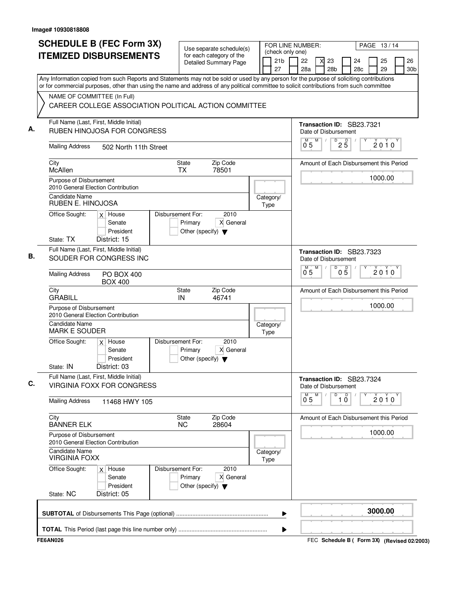| <b>SCHEDULE B (FEC Form 3X)</b><br><b>ITEMIZED DISBURSEMENTS</b>                                                                                                                                                                                                                                                                                                               | Use separate schedule(s)<br>for each category of the                 |                   |                       | (check only one)    | FOR LINE NUMBER:<br>PAGE 13/14 |                                                              |                |                       |  |  |  |
|--------------------------------------------------------------------------------------------------------------------------------------------------------------------------------------------------------------------------------------------------------------------------------------------------------------------------------------------------------------------------------|----------------------------------------------------------------------|-------------------|-----------------------|---------------------|--------------------------------|--------------------------------------------------------------|----------------|-----------------------|--|--|--|
|                                                                                                                                                                                                                                                                                                                                                                                | <b>Detailed Summary Page</b>                                         |                   | 21 <sub>b</sub><br>27 | 22<br>28a           | 23<br>28 <sub>b</sub>          | 24<br>28c                                                    | 25<br>29       | 26<br>30 <sub>b</sub> |  |  |  |
| Any Information copied from such Reports and Statements may not be sold or used by any person for the purpose of soliciting contributions<br>or for commercial purposes, other than using the name and address of any political committee to solicit contributions from such committee<br>NAME OF COMMITTEE (In Full)<br>CAREER COLLEGE ASSOCIATION POLITICAL ACTION COMMITTEE |                                                                      |                   |                       |                     |                                |                                                              |                |                       |  |  |  |
| Full Name (Last, First, Middle Initial)<br>А.<br><b>RUBEN HINOJOSA FOR CONGRESS</b><br><b>Mailing Address</b><br>502 North 11th Street                                                                                                                                                                                                                                         |                                                                      |                   |                       | М<br>0 <sub>5</sub> | Date of Disbursement<br>M      | Transaction ID: SB23.7321<br>$D$ <sub>2</sub> $\overline{5}$ | $2010^{\circ}$ |                       |  |  |  |
| City<br>McAllen                                                                                                                                                                                                                                                                                                                                                                | <b>State</b><br><b>TX</b>                                            | Zip Code<br>78501 |                       |                     |                                | Amount of Each Disbursement this Period                      |                |                       |  |  |  |
| Purpose of Disbursement<br>2010 General Election Contribution<br>Candidate Name                                                                                                                                                                                                                                                                                                |                                                                      |                   | Category/             |                     |                                |                                                              | 1000.00        |                       |  |  |  |
| RUBEN E. HINOJOSA<br>Office Sought:<br>$x$ House<br>Senate<br>President<br>State: TX<br>District: 15                                                                                                                                                                                                                                                                           | Disbursement For:<br>Primary<br>Other (specify) $\blacktriangledown$ | 2010<br>X General | Type                  |                     |                                |                                                              |                |                       |  |  |  |
| Full Name (Last, First, Middle Initial)<br>В.<br>SOUDER FOR CONGRESS INC                                                                                                                                                                                                                                                                                                       |                                                                      |                   |                       |                     | Date of Disbursement           | Transaction ID: SB23.7323                                    |                |                       |  |  |  |
| <b>Mailing Address</b><br><b>PO BOX 400</b><br><b>BOX 400</b>                                                                                                                                                                                                                                                                                                                  |                                                                      |                   |                       | $\overline{0}^M$ 5  | D<br>М                         | $0\overline{5}$                                              | $2010^y$       |                       |  |  |  |
| City<br><b>GRABILL</b>                                                                                                                                                                                                                                                                                                                                                         | State<br>IN                                                          | Zip Code<br>46741 |                       |                     |                                | Amount of Each Disbursement this Period                      |                |                       |  |  |  |
| Purpose of Disbursement<br>2010 General Election Contribution<br><b>Candidate Name</b><br><b>MARK E SOUDER</b>                                                                                                                                                                                                                                                                 |                                                                      |                   | Category/<br>Type     |                     |                                |                                                              | 1000.00        |                       |  |  |  |
| Office Sought:<br>$x$ House<br>Senate<br>President<br>State: IN<br>District: 03                                                                                                                                                                                                                                                                                                | Disbursement For:<br>Primary<br>Other (specify) $\blacktriangledown$ | 2010<br>X General |                       |                     |                                |                                                              |                |                       |  |  |  |
| Full Name (Last, First, Middle Initial)<br>C.<br><b>VIRGINIA FOXX FOR CONGRESS</b>                                                                                                                                                                                                                                                                                             |                                                                      |                   |                       |                     | Date of Disbursement           | Transaction ID: SB23.7324                                    |                |                       |  |  |  |
| <b>Mailing Address</b><br>11468 HWY 105                                                                                                                                                                                                                                                                                                                                        |                                                                      |                   |                       | м<br>05             | M<br>D                         | $\overline{D}$<br>10                                         | 2010           |                       |  |  |  |
| City<br><b>BANNER ELK</b>                                                                                                                                                                                                                                                                                                                                                      | State<br><b>NC</b>                                                   | Zip Code<br>28604 |                       |                     |                                | Amount of Each Disbursement this Period                      |                |                       |  |  |  |
| Purpose of Disbursement<br>2010 General Election Contribution<br>Candidate Name                                                                                                                                                                                                                                                                                                |                                                                      |                   | Category/             |                     |                                |                                                              | 1000.00        |                       |  |  |  |
| <b>VIRGINIA FOXX</b><br>Office Sought:<br>$x$ House<br>Senate<br>President                                                                                                                                                                                                                                                                                                     | Disbursement For:<br>Primary<br>Other (specify) $\blacktriangledown$ | 2010<br>X General | Type                  |                     |                                |                                                              |                |                       |  |  |  |
| District: 05<br>State: NC                                                                                                                                                                                                                                                                                                                                                      |                                                                      |                   | ▶                     |                     |                                |                                                              | 3000.00        |                       |  |  |  |
|                                                                                                                                                                                                                                                                                                                                                                                |                                                                      |                   | ▶                     |                     |                                |                                                              |                |                       |  |  |  |

FEC **Schedule B ( ) Form 3X FE6AN026 (Revised 02/2003)**